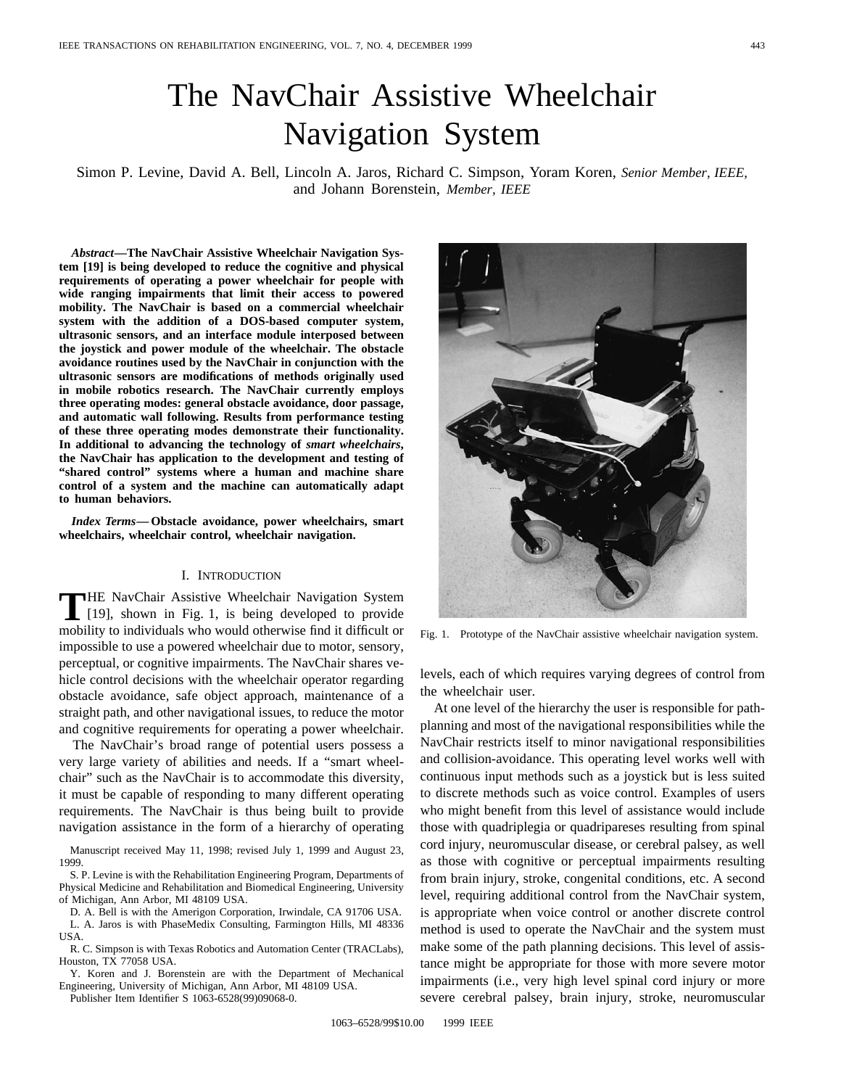# The NavChair Assistive Wheelchair Navigation System

Simon P. Levine, David A. Bell, Lincoln A. Jaros, Richard C. Simpson, Yoram Koren, *Senior Member, IEEE,* and Johann Borenstein, *Member, IEEE*

*Abstract—***The NavChair Assistive Wheelchair Navigation System [19] is being developed to reduce the cognitive and physical requirements of operating a power wheelchair for people with wide ranging impairments that limit their access to powered mobility. The NavChair is based on a commercial wheelchair system with the addition of a DOS-based computer system, ultrasonic sensors, and an interface module interposed between the joystick and power module of the wheelchair. The obstacle avoidance routines used by the NavChair in conjunction with the ultrasonic sensors are modifications of methods originally used in mobile robotics research. The NavChair currently employs three operating modes: general obstacle avoidance, door passage, and automatic wall following. Results from performance testing of these three operating modes demonstrate their functionality. In additional to advancing the technology of** *smart wheelchairs***, the NavChair has application to the development and testing of "shared control" systems where a human and machine share control of a system and the machine can automatically adapt to human behaviors.**

*Index Terms—***Obstacle avoidance, power wheelchairs, smart wheelchairs, wheelchair control, wheelchair navigation.**

# I. INTRODUCTION

**THE NavChair Assistive Wheelchair Navigation System** [19], shown in Fig. 1, is being developed to provide mobility to individuals who would otherwise find it difficult or impossible to use a powered wheelchair due to motor, sensory, perceptual, or cognitive impairments. The NavChair shares vehicle control decisions with the wheelchair operator regarding obstacle avoidance, safe object approach, maintenance of a straight path, and other navigational issues, to reduce the motor and cognitive requirements for operating a power wheelchair.

The NavChair's broad range of potential users possess a very large variety of abilities and needs. If a "smart wheelchair" such as the NavChair is to accommodate this diversity, it must be capable of responding to many different operating requirements. The NavChair is thus being built to provide navigation assistance in the form of a hierarchy of operating

Manuscript received May 11, 1998; revised July 1, 1999 and August 23, 1999.

S. P. Levine is with the Rehabilitation Engineering Program, Departments of Physical Medicine and Rehabilitation and Biomedical Engineering, University of Michigan, Ann Arbor, MI 48109 USA.

D. A. Bell is with the Amerigon Corporation, Irwindale, CA 91706 USA. L. A. Jaros is with PhaseMedix Consulting, Farmington Hills, MI 48336

USA.

R. C. Simpson is with Texas Robotics and Automation Center (TRACLabs), Houston, TX 77058 USA.

Y. Koren and J. Borenstein are with the Department of Mechanical Engineering, University of Michigan, Ann Arbor, MI 48109 USA.

Publisher Item Identifier S 1063-6528(99)09068-0.



Fig. 1. Prototype of the NavChair assistive wheelchair navigation system.

levels, each of which requires varying degrees of control from the wheelchair user.

At one level of the hierarchy the user is responsible for pathplanning and most of the navigational responsibilities while the NavChair restricts itself to minor navigational responsibilities and collision-avoidance. This operating level works well with continuous input methods such as a joystick but is less suited to discrete methods such as voice control. Examples of users who might benefit from this level of assistance would include those with quadriplegia or quadripareses resulting from spinal cord injury, neuromuscular disease, or cerebral palsey, as well as those with cognitive or perceptual impairments resulting from brain injury, stroke, congenital conditions, etc. A second level, requiring additional control from the NavChair system, is appropriate when voice control or another discrete control method is used to operate the NavChair and the system must make some of the path planning decisions. This level of assistance might be appropriate for those with more severe motor impairments (i.e., very high level spinal cord injury or more severe cerebral palsey, brain injury, stroke, neuromuscular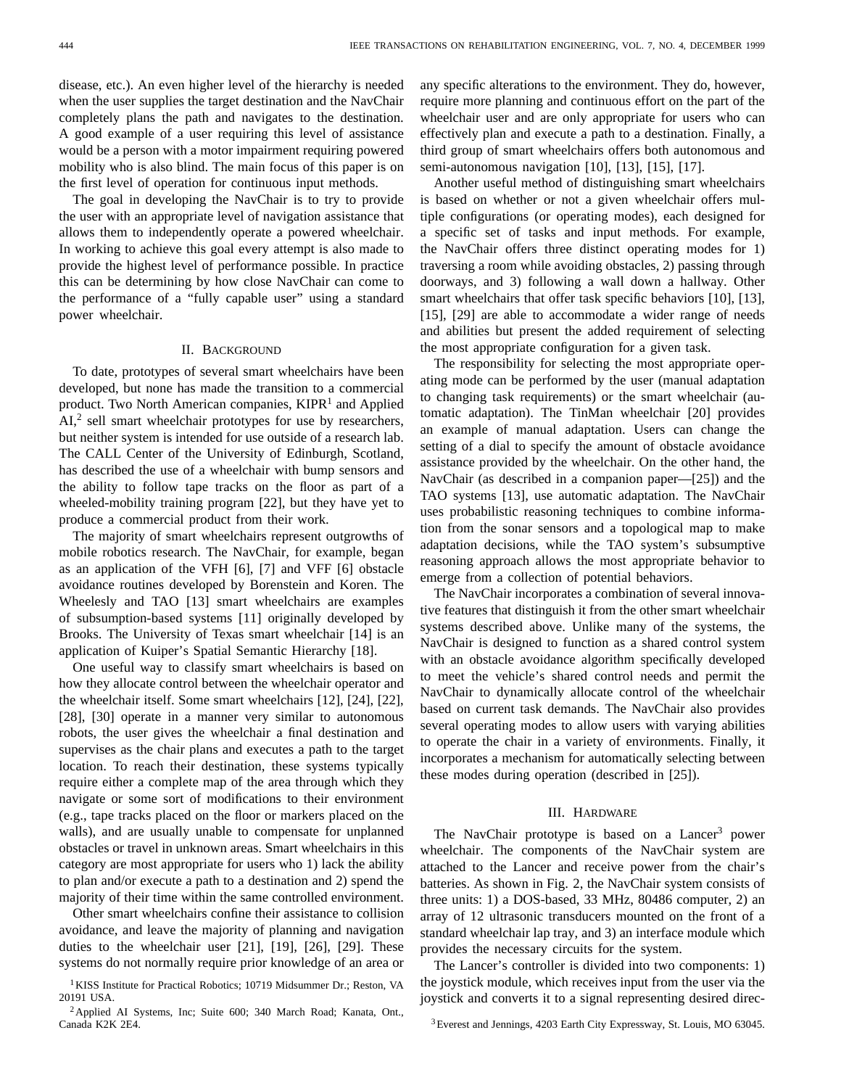disease, etc.). An even higher level of the hierarchy is needed when the user supplies the target destination and the NavChair completely plans the path and navigates to the destination. A good example of a user requiring this level of assistance would be a person with a motor impairment requiring powered mobility who is also blind. The main focus of this paper is on the first level of operation for continuous input methods.

The goal in developing the NavChair is to try to provide the user with an appropriate level of navigation assistance that allows them to independently operate a powered wheelchair. In working to achieve this goal every attempt is also made to provide the highest level of performance possible. In practice this can be determining by how close NavChair can come to the performance of a "fully capable user" using a standard power wheelchair.

# II. BACKGROUND

To date, prototypes of several smart wheelchairs have been developed, but none has made the transition to a commercial product. Two North American companies,  $KIPR<sup>1</sup>$  and Applied  $AI<sub>z</sub><sup>2</sup>$  sell smart wheelchair prototypes for use by researchers, but neither system is intended for use outside of a research lab. The CALL Center of the University of Edinburgh, Scotland, has described the use of a wheelchair with bump sensors and the ability to follow tape tracks on the floor as part of a wheeled-mobility training program [22], but they have yet to produce a commercial product from their work.

The majority of smart wheelchairs represent outgrowths of mobile robotics research. The NavChair, for example, began as an application of the VFH [6], [7] and VFF [6] obstacle avoidance routines developed by Borenstein and Koren. The Wheelesly and TAO [13] smart wheelchairs are examples of subsumption-based systems [11] originally developed by Brooks. The University of Texas smart wheelchair [14] is an application of Kuiper's Spatial Semantic Hierarchy [18].

One useful way to classify smart wheelchairs is based on how they allocate control between the wheelchair operator and the wheelchair itself. Some smart wheelchairs [12], [24], [22], [28], [30] operate in a manner very similar to autonomous robots, the user gives the wheelchair a final destination and supervises as the chair plans and executes a path to the target location. To reach their destination, these systems typically require either a complete map of the area through which they navigate or some sort of modifications to their environment (e.g., tape tracks placed on the floor or markers placed on the walls), and are usually unable to compensate for unplanned obstacles or travel in unknown areas. Smart wheelchairs in this category are most appropriate for users who 1) lack the ability to plan and/or execute a path to a destination and 2) spend the majority of their time within the same controlled environment.

Other smart wheelchairs confine their assistance to collision avoidance, and leave the majority of planning and navigation duties to the wheelchair user [21], [19], [26], [29]. These systems do not normally require prior knowledge of an area or

<sup>1</sup> KISS Institute for Practical Robotics; 10719 Midsummer Dr.; Reston, VA 20191 USA.

 $2$ Applied AI Systems, Inc; Suite 600; 340 March Road; Kanata, Ont., Canada K2K 2E4.

any specific alterations to the environment. They do, however, require more planning and continuous effort on the part of the wheelchair user and are only appropriate for users who can effectively plan and execute a path to a destination. Finally, a third group of smart wheelchairs offers both autonomous and semi-autonomous navigation [10], [13], [15], [17].

Another useful method of distinguishing smart wheelchairs is based on whether or not a given wheelchair offers multiple configurations (or operating modes), each designed for a specific set of tasks and input methods. For example, the NavChair offers three distinct operating modes for 1) traversing a room while avoiding obstacles, 2) passing through doorways, and 3) following a wall down a hallway. Other smart wheelchairs that offer task specific behaviors [10], [13], [15], [29] are able to accommodate a wider range of needs and abilities but present the added requirement of selecting the most appropriate configuration for a given task.

The responsibility for selecting the most appropriate operating mode can be performed by the user (manual adaptation to changing task requirements) or the smart wheelchair (automatic adaptation). The TinMan wheelchair [20] provides an example of manual adaptation. Users can change the setting of a dial to specify the amount of obstacle avoidance assistance provided by the wheelchair. On the other hand, the NavChair (as described in a companion paper—[25]) and the TAO systems [13], use automatic adaptation. The NavChair uses probabilistic reasoning techniques to combine information from the sonar sensors and a topological map to make adaptation decisions, while the TAO system's subsumptive reasoning approach allows the most appropriate behavior to emerge from a collection of potential behaviors.

The NavChair incorporates a combination of several innovative features that distinguish it from the other smart wheelchair systems described above. Unlike many of the systems, the NavChair is designed to function as a shared control system with an obstacle avoidance algorithm specifically developed to meet the vehicle's shared control needs and permit the NavChair to dynamically allocate control of the wheelchair based on current task demands. The NavChair also provides several operating modes to allow users with varying abilities to operate the chair in a variety of environments. Finally, it incorporates a mechanism for automatically selecting between these modes during operation (described in [25]).

#### III. HARDWARE

The NavChair prototype is based on a Lancer<sup>3</sup> power wheelchair. The components of the NavChair system are attached to the Lancer and receive power from the chair's batteries. As shown in Fig. 2, the NavChair system consists of three units: 1) a DOS-based, 33 MHz, 80486 computer, 2) an array of 12 ultrasonic transducers mounted on the front of a standard wheelchair lap tray, and 3) an interface module which provides the necessary circuits for the system.

The Lancer's controller is divided into two components: 1) the joystick module, which receives input from the user via the joystick and converts it to a signal representing desired direc-

<sup>&</sup>lt;sup>3</sup> Everest and Jennings, 4203 Earth City Expressway, St. Louis, MO 63045.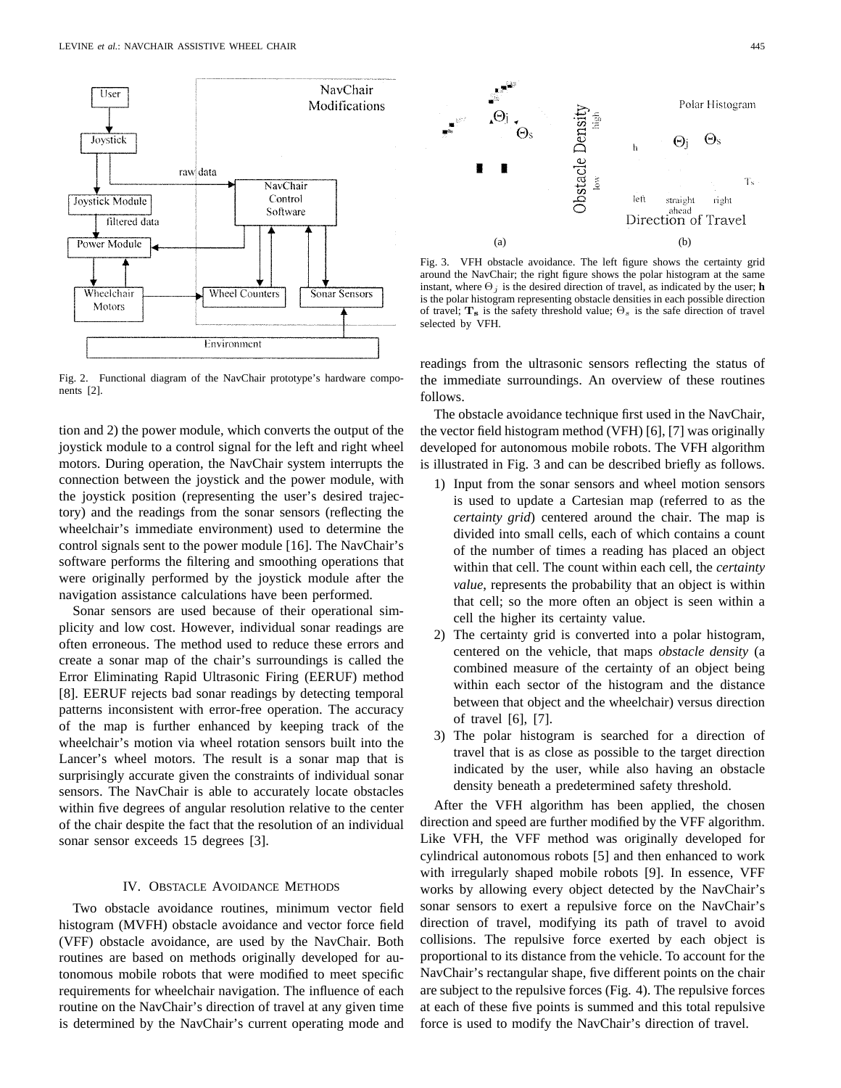

Fig. 2. Functional diagram of the NavChair prototype's hardware components [2].

tion and 2) the power module, which converts the output of the joystick module to a control signal for the left and right wheel motors. During operation, the NavChair system interrupts the connection between the joystick and the power module, with the joystick position (representing the user's desired trajectory) and the readings from the sonar sensors (reflecting the wheelchair's immediate environment) used to determine the control signals sent to the power module [16]. The NavChair's software performs the filtering and smoothing operations that were originally performed by the joystick module after the navigation assistance calculations have been performed.

Sonar sensors are used because of their operational simplicity and low cost. However, individual sonar readings are often erroneous. The method used to reduce these errors and create a sonar map of the chair's surroundings is called the Error Eliminating Rapid Ultrasonic Firing (EERUF) method [8]. EERUF rejects bad sonar readings by detecting temporal patterns inconsistent with error-free operation. The accuracy of the map is further enhanced by keeping track of the wheelchair's motion via wheel rotation sensors built into the Lancer's wheel motors. The result is a sonar map that is surprisingly accurate given the constraints of individual sonar sensors. The NavChair is able to accurately locate obstacles within five degrees of angular resolution relative to the center of the chair despite the fact that the resolution of an individual sonar sensor exceeds 15 degrees [3].

# IV. OBSTACLE AVOIDANCE METHODS

Two obstacle avoidance routines, minimum vector field histogram (MVFH) obstacle avoidance and vector force field (VFF) obstacle avoidance, are used by the NavChair. Both routines are based on methods originally developed for autonomous mobile robots that were modified to meet specific requirements for wheelchair navigation. The influence of each routine on the NavChair's direction of travel at any given time is determined by the NavChair's current operating mode and



Fig. 3. VFH obstacle avoidance. The left figure shows the certainty grid around the NavChair; the right figure shows the polar histogram at the same instant, where  $\Theta_j$  is the desired direction of travel, as indicated by the user; **h** is the polar histogram representing obstacle densities in each possible direction of travel;  $T_s$  is the safety threshold value;  $\Theta_s$  is the safe direction of travel selected by VFH.

readings from the ultrasonic sensors reflecting the status of the immediate surroundings. An overview of these routines follows.

The obstacle avoidance technique first used in the NavChair, the vector field histogram method (VFH) [6], [7] was originally developed for autonomous mobile robots. The VFH algorithm is illustrated in Fig. 3 and can be described briefly as follows.

- 1) Input from the sonar sensors and wheel motion sensors is used to update a Cartesian map (referred to as the *certainty grid*) centered around the chair. The map is divided into small cells, each of which contains a count of the number of times a reading has placed an object within that cell. The count within each cell, the *certainty value*, represents the probability that an object is within that cell; so the more often an object is seen within a cell the higher its certainty value.
- 2) The certainty grid is converted into a polar histogram, centered on the vehicle, that maps *obstacle density* (a combined measure of the certainty of an object being within each sector of the histogram and the distance between that object and the wheelchair) versus direction of travel [6], [7].
- 3) The polar histogram is searched for a direction of travel that is as close as possible to the target direction indicated by the user, while also having an obstacle density beneath a predetermined safety threshold.

After the VFH algorithm has been applied, the chosen direction and speed are further modified by the VFF algorithm. Like VFH, the VFF method was originally developed for cylindrical autonomous robots [5] and then enhanced to work with irregularly shaped mobile robots [9]. In essence, VFF works by allowing every object detected by the NavChair's sonar sensors to exert a repulsive force on the NavChair's direction of travel, modifying its path of travel to avoid collisions. The repulsive force exerted by each object is proportional to its distance from the vehicle. To account for the NavChair's rectangular shape, five different points on the chair are subject to the repulsive forces (Fig. 4). The repulsive forces at each of these five points is summed and this total repulsive force is used to modify the NavChair's direction of travel.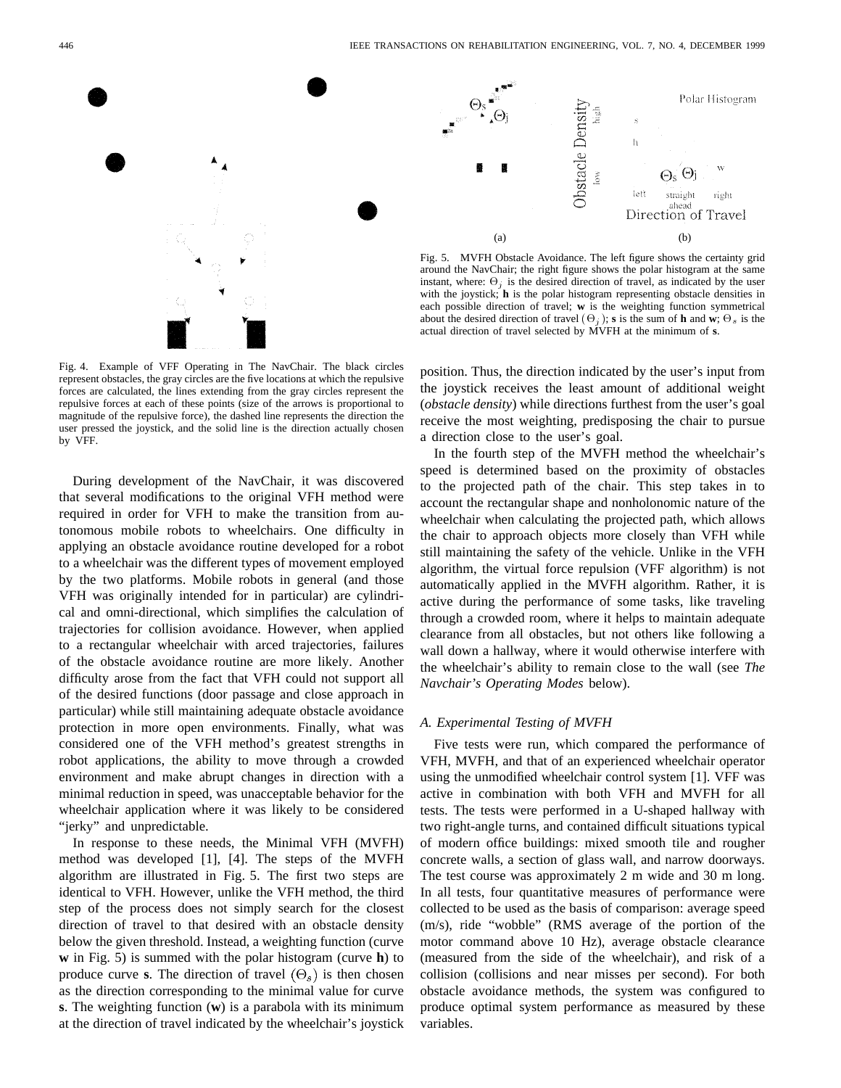represent obstacles, the gray circles are the five locations at which the repulsive forces are calculated, the lines extending from the gray circles represent the repulsive forces at each of these points (size of the arrows is proportional to magnitude of the repulsive force), the dashed line represents the direction the user pressed the joystick, and the solid line is the direction actually chosen by VFF.

 $A$ 

During development of the NavChair, it was discovered that several modifications to the original VFH method were required in order for VFH to make the transition from autonomous mobile robots to wheelchairs. One difficulty in applying an obstacle avoidance routine developed for a robot to a wheelchair was the different types of movement employed by the two platforms. Mobile robots in general (and those VFH was originally intended for in particular) are cylindrical and omni-directional, which simplifies the calculation of trajectories for collision avoidance. However, when applied to a rectangular wheelchair with arced trajectories, failures of the obstacle avoidance routine are more likely. Another difficulty arose from the fact that VFH could not support all of the desired functions (door passage and close approach in particular) while still maintaining adequate obstacle avoidance protection in more open environments. Finally, what was considered one of the VFH method's greatest strengths in robot applications, the ability to move through a crowded environment and make abrupt changes in direction with a minimal reduction in speed, was unacceptable behavior for the wheelchair application where it was likely to be considered "jerky" and unpredictable.

In response to these needs, the Minimal VFH (MVFH) method was developed [1], [4]. The steps of the MVFH algorithm are illustrated in Fig. 5. The first two steps are identical to VFH. However, unlike the VFH method, the third step of the process does not simply search for the closest direction of travel to that desired with an obstacle density below the given threshold. Instead, a weighting function (curve **w** in Fig. 5) is summed with the polar histogram (curve **h**) to produce curve **s**. The direction of travel  $(\Theta_s)$  is then chosen as the direction corresponding to the minimal value for curve **s**. The weighting function (**w**) is a parabola with its minimum at the direction of travel indicated by the wheelchair's joystick position. Thus, the direction indicated by the user's input from the joystick receives the least amount of additional weight (*obstacle density*) while directions furthest from the user's goal receive the most weighting, predisposing the chair to pursue a direction close to the user's goal.

In the fourth step of the MVFH method the wheelchair's speed is determined based on the proximity of obstacles to the projected path of the chair. This step takes in to account the rectangular shape and nonholonomic nature of the wheelchair when calculating the projected path, which allows the chair to approach objects more closely than VFH while still maintaining the safety of the vehicle. Unlike in the VFH algorithm, the virtual force repulsion (VFF algorithm) is not automatically applied in the MVFH algorithm. Rather, it is active during the performance of some tasks, like traveling through a crowded room, where it helps to maintain adequate clearance from all obstacles, but not others like following a wall down a hallway, where it would otherwise interfere with the wheelchair's ability to remain close to the wall (see *The Navchair's Operating Modes* below).

# *A. Experimental Testing of MVFH*

Five tests were run, which compared the performance of VFH, MVFH, and that of an experienced wheelchair operator using the unmodified wheelchair control system [1]. VFF was active in combination with both VFH and MVFH for all tests. The tests were performed in a U-shaped hallway with two right-angle turns, and contained difficult situations typical of modern office buildings: mixed smooth tile and rougher concrete walls, a section of glass wall, and narrow doorways. The test course was approximately 2 m wide and 30 m long. In all tests, four quantitative measures of performance were collected to be used as the basis of comparison: average speed (m/s), ride "wobble" (RMS average of the portion of the motor command above 10 Hz), average obstacle clearance (measured from the side of the wheelchair), and risk of a collision (collisions and near misses per second). For both obstacle avoidance methods, the system was configured to produce optimal system performance as measured by these variables.





Fig. 5. MVFH Obstacle Avoidance. The left figure shows the certainty grid around the NavChair; the right figure shows the polar histogram at the same instant, where:  $\Theta_j$  is the desired direction of travel, as indicated by the user with the joystick; **h** is the polar histogram representing obstacle densities in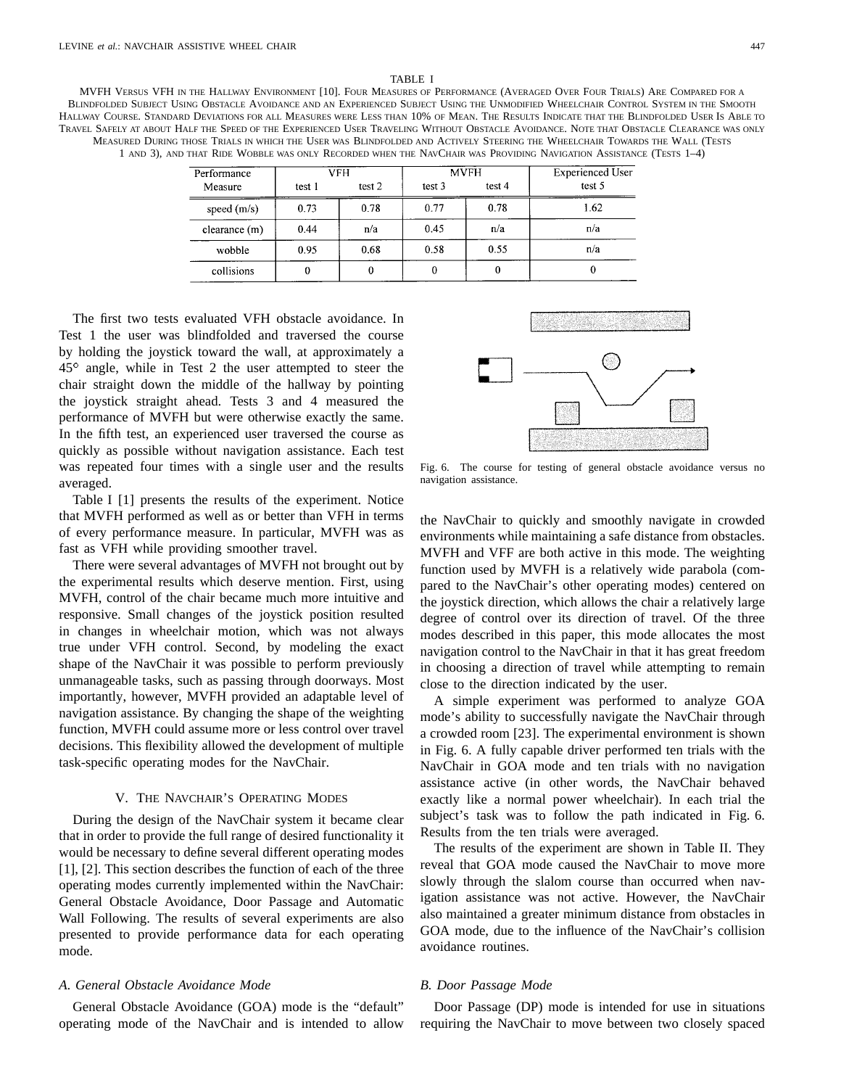TABLE I

MVFH VERSUS VFH IN THE HALLWAY ENVIRONMENT [10]. FOUR MEASURES OF PERFORMANCE (AVERAGED OVER FOUR TRIALS) ARE COMPARED FOR A BLINDFOLDED SUBJECT USING OBSTACLE AVOIDANCE AND AN EXPERIENCED SUBJECT USING THE UNMODIFIED WHEELCHAIR CONTROL SYSTEM IN THE SMOOTH HALLWAY COURSE. STANDARD DEVIATIONS FOR ALL MEASURES WERE LESS THAN 10% OF MEAN. THE RESULTS INDICATE THAT THE BLINDFOLDED USER IS ABLE TO TRAVEL SAFELY AT ABOUT HALF THE SPEED OF THE EXPERIENCED USER TRAVELING WITHOUT OBSTACLE AVOIDANCE. NOTE THAT OBSTACLE CLEARANCE WAS ONLY MEASURED DURING THOSE TRIALS IN WHICH THE USER WAS BLINDFOLDED AND ACTIVELY STEERING THE WHEELCHAIR TOWARDS THE WALL (TESTS 1 AND 3), AND THAT RIDE WOBBLE WAS ONLY RECORDED WHEN THE NAVCHAIR WAS PROVIDING NAVIGATION ASSISTANCE (TESTS 1–4)

| Performance   | VFH    |        | <b>MVFH</b> |        | <b>Experienced User</b> |
|---------------|--------|--------|-------------|--------|-------------------------|
| Measure       | test 1 | test 2 | test 3      | test 4 | test 5                  |
| speed $(m/s)$ | 0.73   | 0.78   | 0.77        | 0.78   | 1.62                    |
| clearance (m) | 0.44   | n/a    | 0.45        | n/a    | n/a                     |
| wobble        | 0.95   | 0.68   | 0.58        | 0.55   | n/a                     |
| collisions    | 0      | 0      | 0           | 0      |                         |

The first two tests evaluated VFH obstacle avoidance. In Test 1 the user was blindfolded and traversed the course by holding the joystick toward the wall, at approximately a  $45^\circ$  angle, while in Test 2 the user attempted to steer the chair straight down the middle of the hallway by pointing the joystick straight ahead. Tests 3 and 4 measured the performance of MVFH but were otherwise exactly the same. In the fifth test, an experienced user traversed the course as quickly as possible without navigation assistance. Each test was repeated four times with a single user and the results averaged.

Table I [1] presents the results of the experiment. Notice that MVFH performed as well as or better than VFH in terms of every performance measure. In particular, MVFH was as fast as VFH while providing smoother travel.

There were several advantages of MVFH not brought out by the experimental results which deserve mention. First, using MVFH, control of the chair became much more intuitive and responsive. Small changes of the joystick position resulted in changes in wheelchair motion, which was not always true under VFH control. Second, by modeling the exact shape of the NavChair it was possible to perform previously unmanageable tasks, such as passing through doorways. Most importantly, however, MVFH provided an adaptable level of navigation assistance. By changing the shape of the weighting function, MVFH could assume more or less control over travel decisions. This flexibility allowed the development of multiple task-specific operating modes for the NavChair.

### V. THE NAVCHAIR'S OPERATING MODES

During the design of the NavChair system it became clear that in order to provide the full range of desired functionality it would be necessary to define several different operating modes [1], [2]. This section describes the function of each of the three operating modes currently implemented within the NavChair: General Obstacle Avoidance, Door Passage and Automatic Wall Following. The results of several experiments are also presented to provide performance data for each operating mode.

#### *A. General Obstacle Avoidance Mode*

General Obstacle Avoidance (GOA) mode is the "default" operating mode of the NavChair and is intended to allow



Fig. 6. The course for testing of general obstacle avoidance versus no navigation assistance.

the NavChair to quickly and smoothly navigate in crowded environments while maintaining a safe distance from obstacles. MVFH and VFF are both active in this mode. The weighting function used by MVFH is a relatively wide parabola (compared to the NavChair's other operating modes) centered on the joystick direction, which allows the chair a relatively large degree of control over its direction of travel. Of the three modes described in this paper, this mode allocates the most navigation control to the NavChair in that it has great freedom in choosing a direction of travel while attempting to remain close to the direction indicated by the user.

A simple experiment was performed to analyze GOA mode's ability to successfully navigate the NavChair through a crowded room [23]. The experimental environment is shown in Fig. 6. A fully capable driver performed ten trials with the NavChair in GOA mode and ten trials with no navigation assistance active (in other words, the NavChair behaved exactly like a normal power wheelchair). In each trial the subject's task was to follow the path indicated in Fig. 6. Results from the ten trials were averaged.

The results of the experiment are shown in Table II. They reveal that GOA mode caused the NavChair to move more slowly through the slalom course than occurred when navigation assistance was not active. However, the NavChair also maintained a greater minimum distance from obstacles in GOA mode, due to the influence of the NavChair's collision avoidance routines.

#### *B. Door Passage Mode*

Door Passage (DP) mode is intended for use in situations requiring the NavChair to move between two closely spaced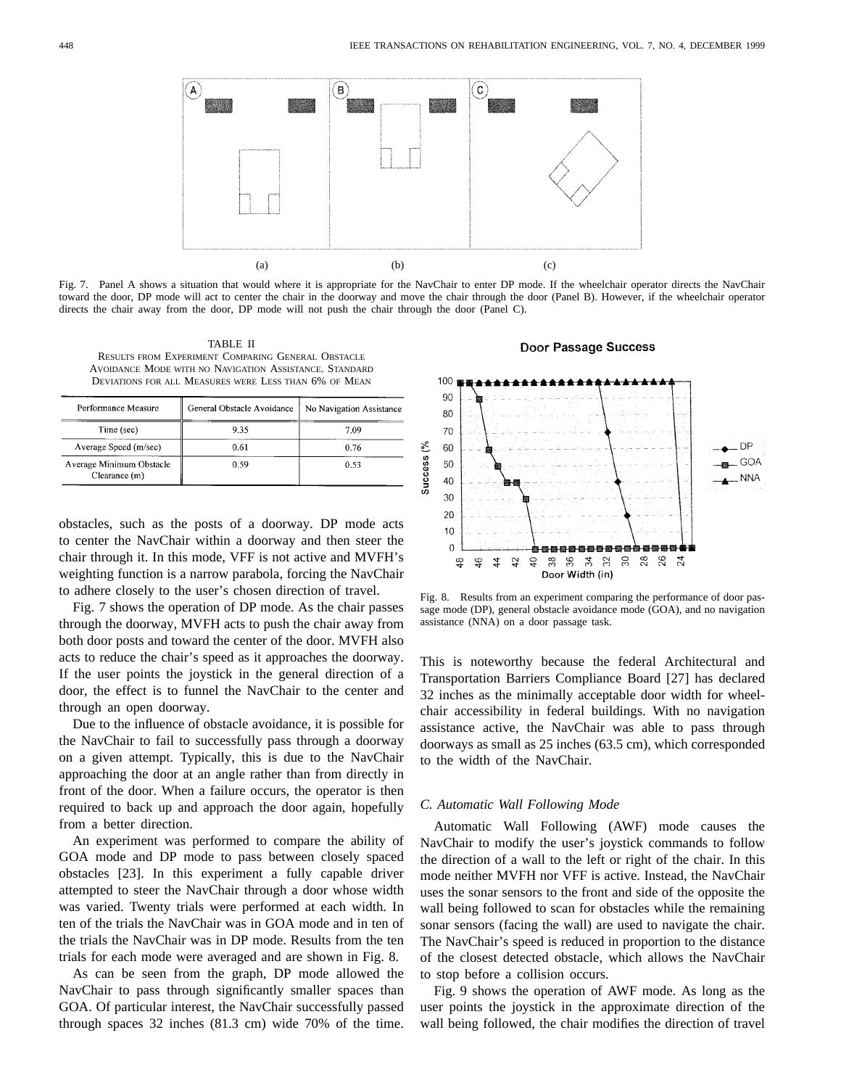

Fig. 7. Panel A shows a situation that would where it is appropriate for the NavChair to enter DP mode. If the wheelchair operator directs the NavChair toward the door, DP mode will act to center the chair in the doorway and move the chair through the door (Panel B). However, if the wheelchair operator directs the chair away from the door, DP mode will not push the chair through the door (Panel C).

TABLE II RESULTS FROM EXPERIMENT COMPARING GENERAL OBSTACLE AVOIDANCE MODE WITH NO NAVIGATION ASSISTANCE. STANDARD DEVIATIONS FOR ALL MEASURES WERE LESS THAN 6% OF MEAN

| Performance Measure                         | General Obstacle Avoidance | No Navigation Assistance |
|---------------------------------------------|----------------------------|--------------------------|
| Time (sec)                                  | 9.35                       | 7.09                     |
| Average Speed (m/sec)                       | 0.61                       | 0.76                     |
| Average Minimum Obstacle<br>Clearance $(m)$ | 0.59                       | 0.53                     |

obstacles, such as the posts of a doorway. DP mode acts to center the NavChair within a doorway and then steer the chair through it. In this mode, VFF is not active and MVFH's weighting function is a narrow parabola, forcing the NavChair to adhere closely to the user's chosen direction of travel.

Fig. 7 shows the operation of DP mode. As the chair passes through the doorway, MVFH acts to push the chair away from both door posts and toward the center of the door. MVFH also acts to reduce the chair's speed as it approaches the doorway. If the user points the joystick in the general direction of a door, the effect is to funnel the NavChair to the center and through an open doorway.

Due to the influence of obstacle avoidance, it is possible for the NavChair to fail to successfully pass through a doorway on a given attempt. Typically, this is due to the NavChair approaching the door at an angle rather than from directly in front of the door. When a failure occurs, the operator is then required to back up and approach the door again, hopefully from a better direction.

An experiment was performed to compare the ability of GOA mode and DP mode to pass between closely spaced obstacles [23]. In this experiment a fully capable driver attempted to steer the NavChair through a door whose width was varied. Twenty trials were performed at each width. In ten of the trials the NavChair was in GOA mode and in ten of the trials the NavChair was in DP mode. Results from the ten trials for each mode were averaged and are shown in Fig. 8.

As can be seen from the graph, DP mode allowed the NavChair to pass through significantly smaller spaces than GOA. Of particular interest, the NavChair successfully passed through spaces 32 inches (81.3 cm) wide 70% of the time.

#### Door Passage Success



Fig. 8. Results from an experiment comparing the performance of door passage mode (DP), general obstacle avoidance mode (GOA), and no navigation assistance (NNA) on a door passage task.

This is noteworthy because the federal Architectural and Transportation Barriers Compliance Board [27] has declared 32 inches as the minimally acceptable door width for wheelchair accessibility in federal buildings. With no navigation assistance active, the NavChair was able to pass through doorways as small as 25 inches (63.5 cm), which corresponded to the width of the NavChair.

#### *C. Automatic Wall Following Mode*

Automatic Wall Following (AWF) mode causes the NavChair to modify the user's joystick commands to follow the direction of a wall to the left or right of the chair. In this mode neither MVFH nor VFF is active. Instead, the NavChair uses the sonar sensors to the front and side of the opposite the wall being followed to scan for obstacles while the remaining sonar sensors (facing the wall) are used to navigate the chair. The NavChair's speed is reduced in proportion to the distance of the closest detected obstacle, which allows the NavChair to stop before a collision occurs.

Fig. 9 shows the operation of AWF mode. As long as the user points the joystick in the approximate direction of the wall being followed, the chair modifies the direction of travel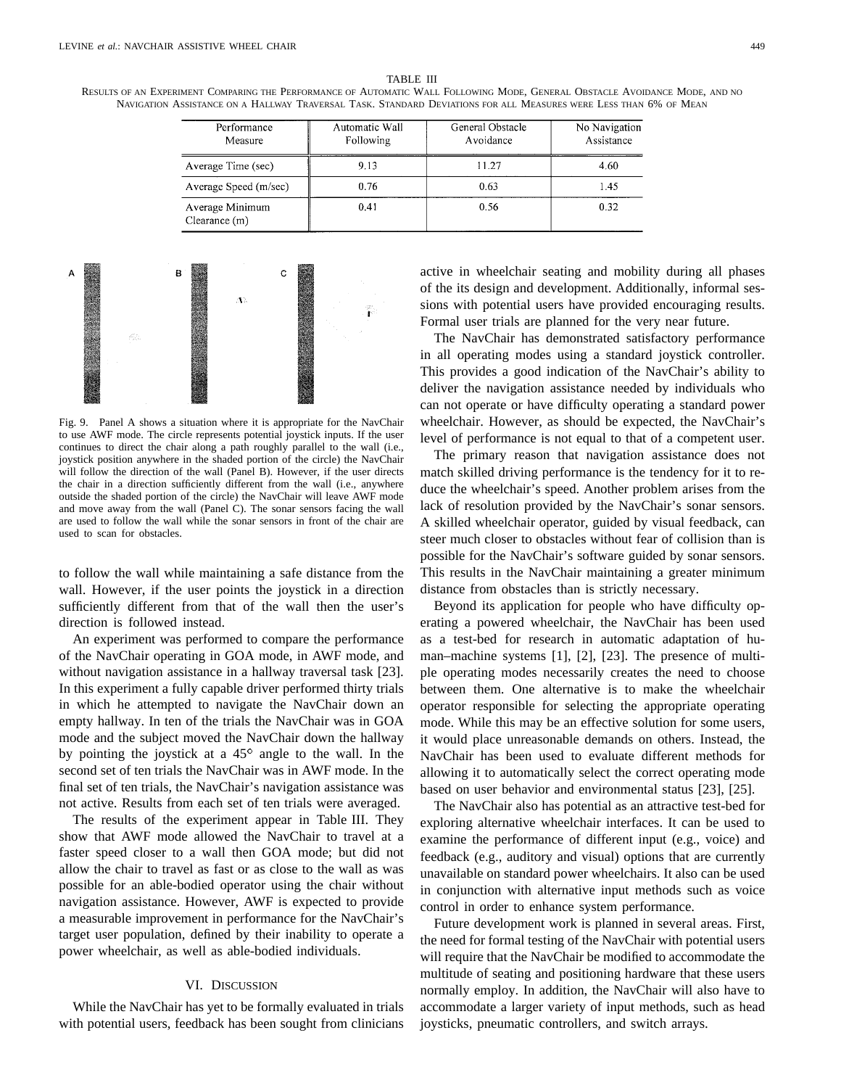RESULTS OF AN EXPERIMENT COMPARING THE PERFORMANCE OF AUTOMATIC WALL FOLLOWING MODE, GENERAL OBSTACLE AVOIDANCE MODE, AND NO NAVIGATION ASSISTANCE ON A HALLWAY TRAVERSAL TASK. STANDARD DEVIATIONS FOR ALL MEASURES WERE LESS THAN 6% OF MEAN

| Performance<br>Measure             | Automatic Wall<br>Following | General Obstacle<br>Avoidance | No Navigation<br>Assistance |
|------------------------------------|-----------------------------|-------------------------------|-----------------------------|
| Average Time (sec)                 | 9.13                        | 11.27                         | 4.60                        |
| Average Speed (m/sec)              | 0.76                        | 0.63                          | 1.45                        |
| Average Minimum<br>Clearance $(m)$ | 0.41                        | 0.56                          | 0.32                        |

TABLE III

 $\mathbf{c}$  $\mathbf{A}$ ¥

Fig. 9. Panel A shows a situation where it is appropriate for the NavChair to use AWF mode. The circle represents potential joystick inputs. If the user continues to direct the chair along a path roughly parallel to the wall (i.e., joystick position anywhere in the shaded portion of the circle) the NavChair will follow the direction of the wall (Panel B). However, if the user directs the chair in a direction sufficiently different from the wall (i.e., anywhere outside the shaded portion of the circle) the NavChair will leave AWF mode and move away from the wall (Panel C). The sonar sensors facing the wall are used to follow the wall while the sonar sensors in front of the chair are used to scan for obstacles.

to follow the wall while maintaining a safe distance from the wall. However, if the user points the joystick in a direction sufficiently different from that of the wall then the user's direction is followed instead.

An experiment was performed to compare the performance of the NavChair operating in GOA mode, in AWF mode, and without navigation assistance in a hallway traversal task [23]. In this experiment a fully capable driver performed thirty trials in which he attempted to navigate the NavChair down an empty hallway. In ten of the trials the NavChair was in GOA mode and the subject moved the NavChair down the hallway by pointing the joystick at a  $45^\circ$  angle to the wall. In the second set of ten trials the NavChair was in AWF mode. In the final set of ten trials, the NavChair's navigation assistance was not active. Results from each set of ten trials were averaged.

The results of the experiment appear in Table III. They show that AWF mode allowed the NavChair to travel at a faster speed closer to a wall then GOA mode; but did not allow the chair to travel as fast or as close to the wall as was possible for an able-bodied operator using the chair without navigation assistance. However, AWF is expected to provide a measurable improvement in performance for the NavChair's target user population, defined by their inability to operate a power wheelchair, as well as able-bodied individuals.

# VI. DISCUSSION

While the NavChair has yet to be formally evaluated in trials with potential users, feedback has been sought from clinicians active in wheelchair seating and mobility during all phases of the its design and development. Additionally, informal sessions with potential users have provided encouraging results. Formal user trials are planned for the very near future.

The NavChair has demonstrated satisfactory performance in all operating modes using a standard joystick controller. This provides a good indication of the NavChair's ability to deliver the navigation assistance needed by individuals who can not operate or have difficulty operating a standard power wheelchair. However, as should be expected, the NavChair's level of performance is not equal to that of a competent user.

The primary reason that navigation assistance does not match skilled driving performance is the tendency for it to reduce the wheelchair's speed. Another problem arises from the lack of resolution provided by the NavChair's sonar sensors. A skilled wheelchair operator, guided by visual feedback, can steer much closer to obstacles without fear of collision than is possible for the NavChair's software guided by sonar sensors. This results in the NavChair maintaining a greater minimum distance from obstacles than is strictly necessary.

Beyond its application for people who have difficulty operating a powered wheelchair, the NavChair has been used as a test-bed for research in automatic adaptation of human–machine systems [1], [2], [23]. The presence of multiple operating modes necessarily creates the need to choose between them. One alternative is to make the wheelchair operator responsible for selecting the appropriate operating mode. While this may be an effective solution for some users, it would place unreasonable demands on others. Instead, the NavChair has been used to evaluate different methods for allowing it to automatically select the correct operating mode based on user behavior and environmental status [23], [25].

The NavChair also has potential as an attractive test-bed for exploring alternative wheelchair interfaces. It can be used to examine the performance of different input (e.g., voice) and feedback (e.g., auditory and visual) options that are currently unavailable on standard power wheelchairs. It also can be used in conjunction with alternative input methods such as voice control in order to enhance system performance.

Future development work is planned in several areas. First, the need for formal testing of the NavChair with potential users will require that the NavChair be modified to accommodate the multitude of seating and positioning hardware that these users normally employ. In addition, the NavChair will also have to accommodate a larger variety of input methods, such as head joysticks, pneumatic controllers, and switch arrays.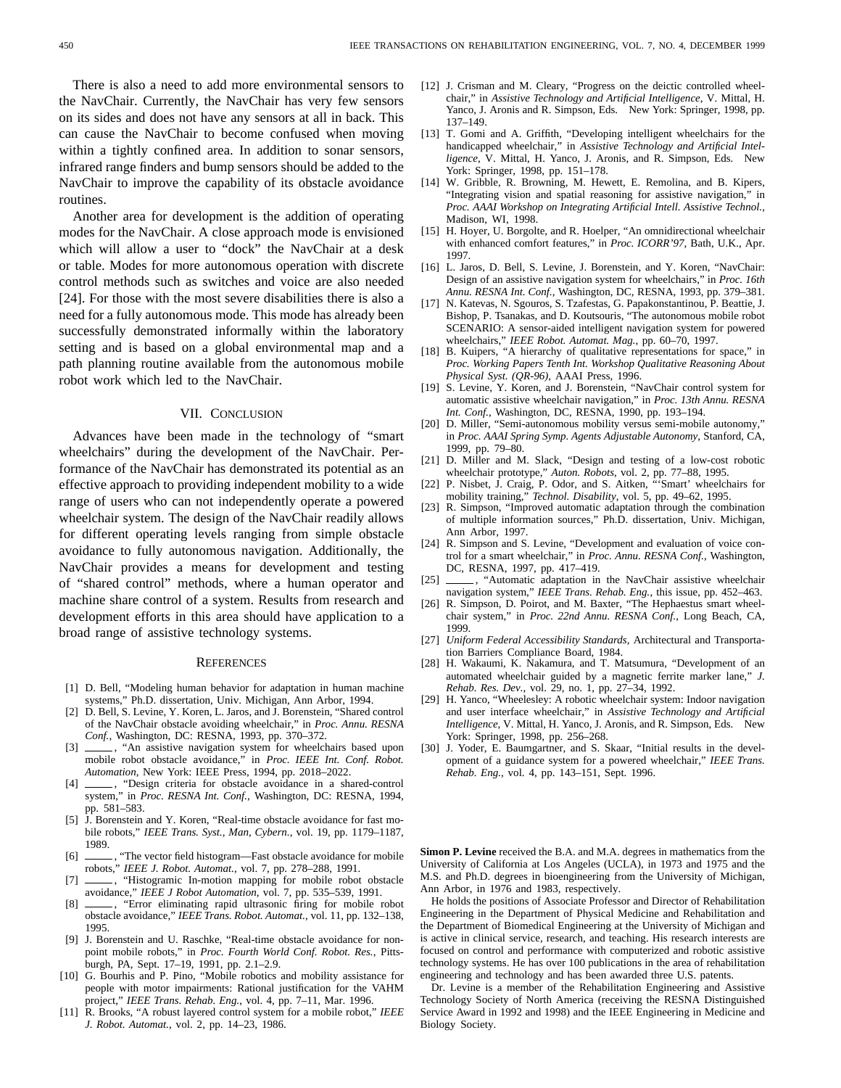There is also a need to add more environmental sensors to the NavChair. Currently, the NavChair has very few sensors on its sides and does not have any sensors at all in back. This can cause the NavChair to become confused when moving within a tightly confined area. In addition to sonar sensors, infrared range finders and bump sensors should be added to the NavChair to improve the capability of its obstacle avoidance routines.

Another area for development is the addition of operating modes for the NavChair. A close approach mode is envisioned which will allow a user to "dock" the NavChair at a desk or table. Modes for more autonomous operation with discrete control methods such as switches and voice are also needed [24]. For those with the most severe disabilities there is also a need for a fully autonomous mode. This mode has already been successfully demonstrated informally within the laboratory setting and is based on a global environmental map and a path planning routine available from the autonomous mobile robot work which led to the NavChair.

## VII. CONCLUSION

Advances have been made in the technology of "smart wheelchairs" during the development of the NavChair. Performance of the NavChair has demonstrated its potential as an effective approach to providing independent mobility to a wide range of users who can not independently operate a powered wheelchair system. The design of the NavChair readily allows for different operating levels ranging from simple obstacle avoidance to fully autonomous navigation. Additionally, the NavChair provides a means for development and testing of "shared control" methods, where a human operator and machine share control of a system. Results from research and development efforts in this area should have application to a broad range of assistive technology systems.

#### **REFERENCES**

- [1] D. Bell, "Modeling human behavior for adaptation in human machine systems," Ph.D. dissertation, Univ. Michigan, Ann Arbor, 1994.
- [2] D. Bell, S. Levine, Y. Koren, L. Jaros, and J. Borenstein, "Shared control of the NavChair obstacle avoiding wheelchair," in *Proc. Annu. RESNA Conf.*, Washington, DC: RESNA, 1993, pp. 370–372.
- [3]  $\frac{1}{\sqrt{2}}$ , "An assistive navigation system for wheelchairs based upon mobile robot obstacle avoidance," in *Proc. IEEE Int. Conf. Robot. Automation*, New York: IEEE Press, 1994, pp. 2018–2022.
- [4]  $\frac{1}{\sqrt{1-\frac{1}{\sqrt{1-\frac{1}{\sqrt{1-\frac{1}{\sqrt{1-\frac{1}{\sqrt{1-\frac{1}{\sqrt{1-\frac{1}{\sqrt{1-\frac{1}{\sqrt{1-\frac{1}{\sqrt{1-\frac{1}{\sqrt{1-\frac{1}{\sqrt{1-\frac{1}{\sqrt{1-\frac{1}{\sqrt{1-\frac{1}{\sqrt{1-\frac{1}{\sqrt{1-\frac{1}{\sqrt{1-\frac{1}{\sqrt{1-\frac{1}{\sqrt{1-\frac{1}{\sqrt{1-\frac{1}{\sqrt{1-\frac{1}{\sqrt{1-\frac{1}{\sqrt{1-\frac{1}{\sqrt{1-\frac{1}{\sqrt{1-\$ system," in *Proc. RESNA Int. Conf.*, Washington, DC: RESNA, 1994, pp. 581–583.
- [5] J. Borenstein and Y. Koren, "Real-time obstacle avoidance for fast mobile robots," *IEEE Trans. Syst., Man, Cybern.*, vol. 19, pp. 1179–1187, 1989.
- [6]  $\_\_\_\$ , "The vector field histogram—Fast obstacle avoidance for mobile robots," *IEEE J. Robot. Automat.*, vol. 7, pp. 278–288, 1991.
- [7] \_\_\_\_\_, "Histogramic In-motion mapping for mobile robot obstacle avoidance," *IEEE J Robot Automation*, vol. 7, pp. 535–539, 1991.
- [8] \_\_\_\_\_, "Error eliminating rapid ultrasonic firing for mobile robot obstacle avoidance," *IEEE Trans. Robot. Automat.*, vol. 11, pp. 132–138, 1995.
- [9] J. Borenstein and U. Raschke, "Real-time obstacle avoidance for nonpoint mobile robots," in *Proc. Fourth World Conf. Robot. Res.*, Pittsburgh, PA, Sept. 17–19, 1991, pp. 2.1–2.9.
- [10] G. Bourhis and P. Pino, "Mobile robotics and mobility assistance for people with motor impairments: Rational justification for the VAHM project," *IEEE Trans. Rehab. Eng.*, vol. 4, pp. 7–11, Mar. 1996.
- [11] R. Brooks, "A robust layered control system for a mobile robot," *IEEE J. Robot. Automat.*, vol. 2, pp. 14–23, 1986.
- [12] J. Crisman and M. Cleary, "Progress on the deictic controlled wheelchair," in *Assistive Technology and Artificial Intelligence*, V. Mittal, H. Yanco, J. Aronis and R. Simpson, Eds. New York: Springer, 1998, pp. 137–149.
- [13] T. Gomi and A. Griffith, "Developing intelligent wheelchairs for the handicapped wheelchair," in *Assistive Technology and Artificial Intelligence*, V. Mittal, H. Yanco, J. Aronis, and R. Simpson, Eds. New York: Springer, 1998, pp. 151–178.
- [14] W. Gribble, R. Browning, M. Hewett, E. Remolina, and B. Kipers, "Integrating vision and spatial reasoning for assistive navigation," in *Proc. AAAI Workshop on Integrating Artificial Intell. Assistive Technol.*, Madison, WI, 1998.
- [15] H. Hoyer, U. Borgolte, and R. Hoelper, "An omnidirectional wheelchair with enhanced comfort features," in *Proc. ICORR'97*, Bath, U.K., Apr. 1997.
- [16] L. Jaros, D. Bell, S. Levine, J. Borenstein, and Y. Koren, "NavChair: Design of an assistive navigation system for wheelchairs," in *Proc. 16th Annu. RESNA Int. Conf.*, Washington, DC, RESNA, 1993, pp. 379–381.
- [17] N. Katevas, N. Sgouros, S. Tzafestas, G. Papakonstantinou, P. Beattie, J. Bishop, P. Tsanakas, and D. Koutsouris, "The autonomous mobile robot SCENARIO: A sensor-aided intelligent navigation system for powered wheelchairs," *IEEE Robot. Automat. Mag.*, pp. 60–70, 1997.
- [18] B. Kuipers, "A hierarchy of qualitative representations for space," in *Proc. Working Papers Tenth Int. Workshop Qualitative Reasoning About Physical Syst. (QR-96)*, AAAI Press, 1996.
- [19] S. Levine, Y. Koren, and J. Borenstein, "NavChair control system for automatic assistive wheelchair navigation," in *Proc. 13th Annu. RESNA Int. Conf.*, Washington, DC, RESNA, 1990, pp. 193–194.
- [20] D. Miller, "Semi-autonomous mobility versus semi-mobile autonomy," in *Proc. AAAI Spring Symp. Agents Adjustable Autonomy*, Stanford, CA, 1999, pp. 79–80.
- [21] D. Miller and M. Slack, "Design and testing of a low-cost robotic wheelchair prototype," *Auton. Robots*, vol. 2, pp. 77–88, 1995.
- [22] P. Nisbet, J. Craig, P. Odor, and S. Aitken, "'Smart' wheelchairs for mobility training," *Technol. Disability*, vol. 5, pp. 49–62, 1995.
- [23] R. Simpson, "Improved automatic adaptation through the combination of multiple information sources," Ph.D. dissertation, Univ. Michigan, Ann Arbor, 1997.
- [24] R. Simpson and S. Levine, "Development and evaluation of voice control for a smart wheelchair," in *Proc. Annu. RESNA Conf.*, Washington, DC, RESNA, 1997, pp. 417–419.
- [25]  $\_\_\_\$ , "Automatic adaptation in the NavChair assistive wheelchair navigation system," *IEEE Trans. Rehab. Eng.*, this issue, pp. 452–463.
- [26] R. Simpson, D. Poirot, and M. Baxter, "The Hephaestus smart wheelchair system," in *Proc. 22nd Annu. RESNA Conf.*, Long Beach, CA, 1999.
- [27] *Uniform Federal Accessibility Standards*, Architectural and Transportation Barriers Compliance Board, 1984.
- [28] H. Wakaumi, K. Nakamura, and T. Matsumura, "Development of an automated wheelchair guided by a magnetic ferrite marker lane," *J. Rehab. Res. Dev.*, vol. 29, no. 1, pp. 27–34, 1992.
- [29] H. Yanco, "Wheelesley: A robotic wheelchair system: Indoor navigation and user interface wheelchair," in *Assistive Technology and Artificial Intelligence*, V. Mittal, H. Yanco, J. Aronis, and R. Simpson, Eds. New York: Springer, 1998, pp. 256–268.
- [30] J. Yoder, E. Baumgartner, and S. Skaar, "Initial results in the development of a guidance system for a powered wheelchair," *IEEE Trans. Rehab. Eng.*, vol. 4, pp. 143–151, Sept. 1996.

**Simon P. Levine** received the B.A. and M.A. degrees in mathematics from the University of California at Los Angeles (UCLA), in 1973 and 1975 and the M.S. and Ph.D. degrees in bioengineering from the University of Michigan, Ann Arbor, in 1976 and 1983, respectively.

He holds the positions of Associate Professor and Director of Rehabilitation Engineering in the Department of Physical Medicine and Rehabilitation and the Department of Biomedical Engineering at the University of Michigan and is active in clinical service, research, and teaching. His research interests are focused on control and performance with computerized and robotic assistive technology systems. He has over 100 publications in the area of rehabilitation engineering and technology and has been awarded three U.S. patents.

Dr. Levine is a member of the Rehabilitation Engineering and Assistive Technology Society of North America (receiving the RESNA Distinguished Service Award in 1992 and 1998) and the IEEE Engineering in Medicine and Biology Society.